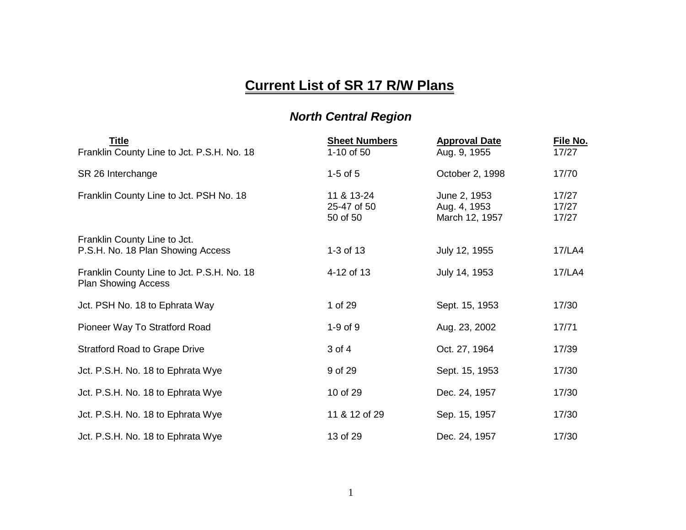## **Current List of SR 17 R/W Plans**

## *North Central Region*

| <u>Title</u><br>Franklin County Line to Jct. P.S.H. No. 18               | <b>Sheet Numbers</b><br>1-10 of 50    | <b>Approval Date</b><br>Aug. 9, 1955           | File No.<br>17/27       |
|--------------------------------------------------------------------------|---------------------------------------|------------------------------------------------|-------------------------|
| SR 26 Interchange                                                        | $1-5$ of $5$                          | October 2, 1998                                | 17/70                   |
| Franklin County Line to Jct. PSH No. 18                                  | 11 & 13-24<br>25-47 of 50<br>50 of 50 | June 2, 1953<br>Aug. 4, 1953<br>March 12, 1957 | 17/27<br>17/27<br>17/27 |
| Franklin County Line to Jct.<br>P.S.H. No. 18 Plan Showing Access        | 1-3 of $13$                           | July 12, 1955                                  | 17/LA4                  |
| Franklin County Line to Jct. P.S.H. No. 18<br><b>Plan Showing Access</b> | 4-12 of 13                            | July 14, 1953                                  | 17/LA4                  |
| Jct. PSH No. 18 to Ephrata Way                                           | 1 of 29                               | Sept. 15, 1953                                 | 17/30                   |
| Pioneer Way To Stratford Road                                            | $1-9$ of $9$                          | Aug. 23, 2002                                  | 17/71                   |
| <b>Stratford Road to Grape Drive</b>                                     | 3 of 4                                | Oct. 27, 1964                                  | 17/39                   |
| Jct. P.S.H. No. 18 to Ephrata Wye                                        | 9 of 29                               | Sept. 15, 1953                                 | 17/30                   |
| Jct. P.S.H. No. 18 to Ephrata Wye                                        | 10 of 29                              | Dec. 24, 1957                                  | 17/30                   |
| Jct. P.S.H. No. 18 to Ephrata Wye                                        | 11 & 12 of 29                         | Sep. 15, 1957                                  | 17/30                   |
| Jct. P.S.H. No. 18 to Ephrata Wye                                        | 13 of 29                              | Dec. 24, 1957                                  | 17/30                   |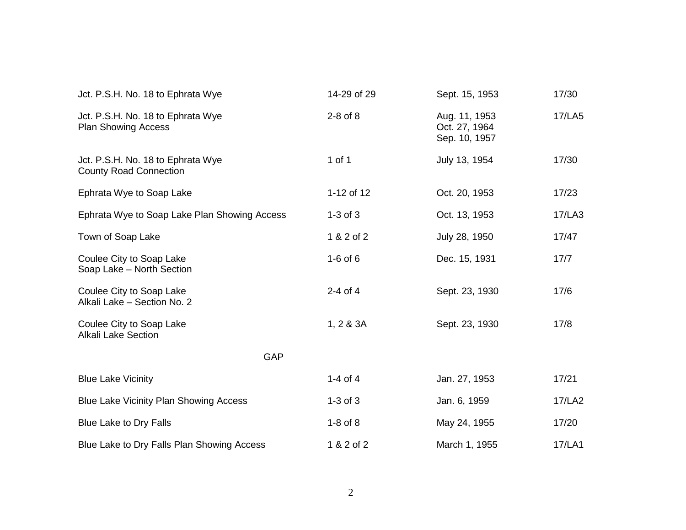| Jct. P.S.H. No. 18 to Ephrata Wye                                  | 14-29 of 29  | Sept. 15, 1953                                  | 17/30  |
|--------------------------------------------------------------------|--------------|-------------------------------------------------|--------|
| Jct. P.S.H. No. 18 to Ephrata Wye<br><b>Plan Showing Access</b>    | $2-8$ of $8$ | Aug. 11, 1953<br>Oct. 27, 1964<br>Sep. 10, 1957 | 17/LA5 |
| Jct. P.S.H. No. 18 to Ephrata Wye<br><b>County Road Connection</b> | 1 of 1       | July 13, 1954                                   | 17/30  |
| Ephrata Wye to Soap Lake                                           | 1-12 of 12   | Oct. 20, 1953                                   | 17/23  |
| Ephrata Wye to Soap Lake Plan Showing Access                       | $1-3$ of $3$ | Oct. 13, 1953                                   | 17/LA3 |
| Town of Soap Lake                                                  | 1 & 2 of 2   | July 28, 1950                                   | 17/47  |
| Coulee City to Soap Lake<br>Soap Lake - North Section              | $1-6$ of $6$ | Dec. 15, 1931                                   | 17/7   |
| Coulee City to Soap Lake<br>Alkali Lake - Section No. 2            | $2-4$ of $4$ | Sept. 23, 1930                                  | 17/6   |
| Coulee City to Soap Lake<br><b>Alkali Lake Section</b>             | 1, 2 & 3A    | Sept. 23, 1930                                  | 17/8   |
| <b>GAP</b>                                                         |              |                                                 |        |
| <b>Blue Lake Vicinity</b>                                          | 1-4 of 4     | Jan. 27, 1953                                   | 17/21  |
| Blue Lake Vicinity Plan Showing Access                             | $1-3$ of $3$ | Jan. 6, 1959                                    | 17/LA2 |
| <b>Blue Lake to Dry Falls</b>                                      | $1-8$ of $8$ | May 24, 1955                                    | 17/20  |
| Blue Lake to Dry Falls Plan Showing Access                         | 1 & 2 of 2   | March 1, 1955                                   | 17/LA1 |